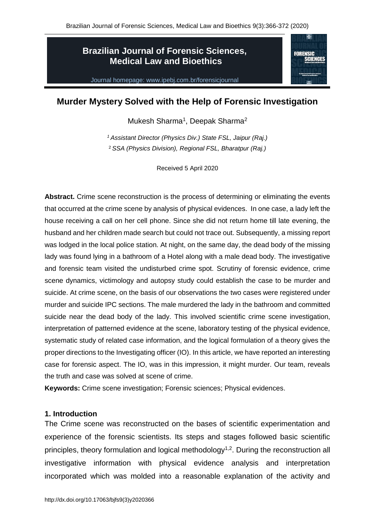**FORENSIC** 

# **Brazilian Journal of Forensic Sciences, Medical Law and Bioethics**

Journal homepage: www.ipebj.com.br/forensicjournal

# **Murder Mystery Solved with the Help of Forensic Investigation**

Mukesh Sharma<sup>1</sup>, Deepak Sharma<sup>2</sup>

*<sup>1</sup> Assistant Director (Physics Div.) State FSL, Jaipur (Raj.)* <sup>2</sup> *SSA (Physics Division), Regional FSL, Bharatpur (Raj.)*

Received 5 April 2020

**Abstract.** Crime scene reconstruction is the process of determining or eliminating the events that occurred at the crime scene by analysis of physical evidences. In one case, a lady left the house receiving a call on her cell phone. Since she did not return home till late evening, the husband and her children made search but could not trace out. Subsequently, a missing report was lodged in the local police station. At night, on the same day, the dead body of the missing lady was found lying in a bathroom of a Hotel along with a male dead body. The investigative and forensic team visited the undisturbed crime spot. Scrutiny of forensic evidence, crime scene dynamics, victimology and autopsy study could establish the case to be murder and suicide. At crime scene, on the basis of our observations the two cases were registered under murder and suicide IPC sections. The male murdered the lady in the bathroom and committed suicide near the dead body of the lady. This involved scientific crime scene investigation, interpretation of patterned evidence at the scene, laboratory testing of the physical evidence, systematic study of related case information, and the logical formulation of a theory gives the proper directions to the Investigating officer (IO). In this article, we have reported an interesting case for forensic aspect. The IO, was in this impression, it might murder. Our team, reveals the truth and case was solved at scene of crime.

**Keywords:** Crime scene investigation; Forensic sciences; Physical evidences.

#### **1. Introduction**

The Crime scene was reconstructed on the bases of scientific experimentation and experience of the forensic scientists. Its steps and stages followed basic scientific principles, theory formulation and logical methodology<sup> $1,2$ </sup>. During the reconstruction all investigative information with physical evidence analysis and interpretation incorporated which was molded into a reasonable explanation of the activity and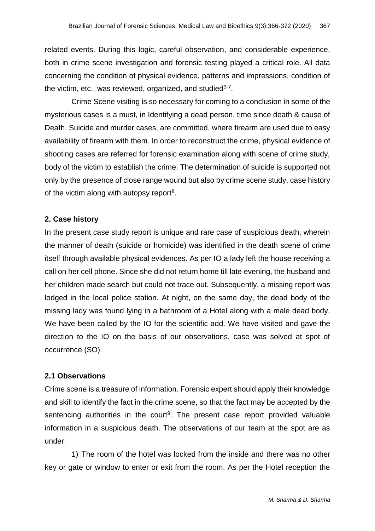related events. During this logic, careful observation, and considerable experience, both in crime scene investigation and forensic testing played a critical role. All data concerning the condition of physical evidence, patterns and impressions, condition of the victim, etc., was reviewed, organized, and studied<sup>3-7</sup>.

Crime Scene visiting is so necessary for coming to a conclusion in some of the mysterious cases is a must, in Identifying a dead person, time since death & cause of Death. Suicide and murder cases, are committed, where firearm are used due to easy availability of firearm with them. In order to reconstruct the crime, physical evidence of shooting cases are referred for forensic examination along with scene of crime study, body of the victim to establish the crime. The determination of suicide is supported not only by the presence of close range wound but also by crime scene study, case history of the victim along with autopsy report<sup>8</sup>.

## **2. Case history**

In the present case study report is unique and rare case of suspicious death, wherein the manner of death (suicide or homicide) was identified in the death scene of crime itself through available physical evidences. As per IO a lady left the house receiving a call on her cell phone. Since she did not return home till late evening, the husband and her children made search but could not trace out. Subsequently, a missing report was lodged in the local police station. At night, on the same day, the dead body of the missing lady was found lying in a bathroom of a Hotel along with a male dead body. We have been called by the IO for the scientific add. We have visited and gave the direction to the IO on the basis of our observations, case was solved at spot of occurrence (SO).

## **2.1 Observations**

Crime scene is a treasure of information. Forensic expert should apply their knowledge and skill to identify the fact in the crime scene, so that the fact may be accepted by the sentencing authorities in the court<sup>9</sup>. The present case report provided valuable information in a suspicious death. The observations of our team at the spot are as under:

1) The room of the hotel was locked from the inside and there was no other key or gate or window to enter or exit from the room. As per the Hotel reception the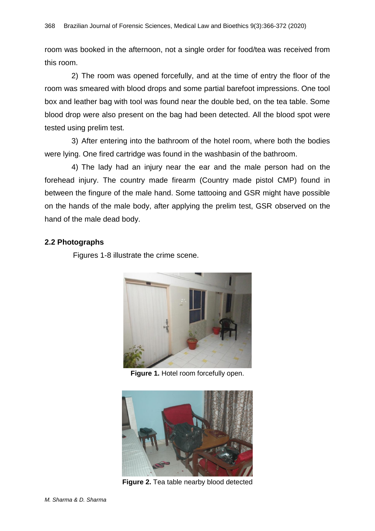room was booked in the afternoon, not a single order for food/tea was received from this room.

2) The room was opened forcefully, and at the time of entry the floor of the room was smeared with blood drops and some partial barefoot impressions. One tool box and leather bag with tool was found near the double bed, on the tea table. Some blood drop were also present on the bag had been detected. All the blood spot were tested using prelim test.

3) After entering into the bathroom of the hotel room, where both the bodies were lying. One fired cartridge was found in the washbasin of the bathroom.

4) The lady had an injury near the ear and the male person had on the forehead injury. The country made firearm (Country made pistol CMP) found in between the fingure of the male hand. Some tattooing and GSR might have possible on the hands of the male body, after applying the prelim test, GSR observed on the hand of the male dead body.

### **2.2 Photographs**

Figures 1-8 illustrate the crime scene.



**Figure 1.** Hotel room forcefully open.



**Figure 2.** Tea table nearby blood detected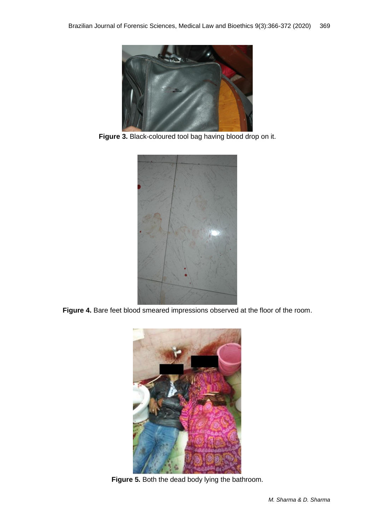

**Figure 3.** Black-coloured tool bag having blood drop on it.



**Figure 4.** Bare feet blood smeared impressions observed at the floor of the room.



**Figure 5.** Both the dead body lying the bathroom.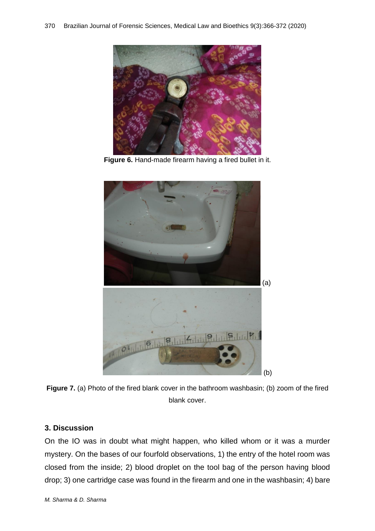

**Figure 6.** Hand-made firearm having a fired bullet in it.





### **3. Discussion**

On the IO was in doubt what might happen, who killed whom or it was a murder mystery. On the bases of our fourfold observations, 1) the entry of the hotel room was closed from the inside; 2) blood droplet on the tool bag of the person having blood drop; 3) one cartridge case was found in the firearm and one in the washbasin; 4) bare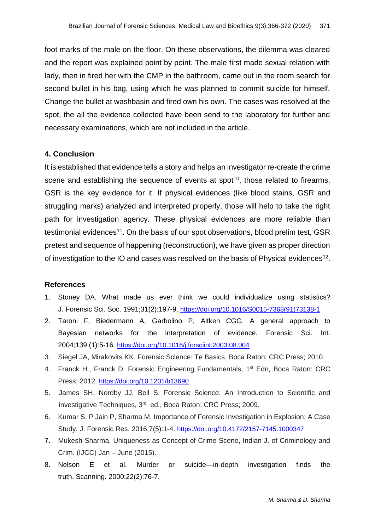foot marks of the male on the floor. On these observations, the dilemma was cleared and the report was explained point by point. The male first made sexual relation with lady, then in fired her with the CMP in the bathroom, came out in the room search for second bullet in his bag, using which he was planned to commit suicide for himself. Change the bullet at washbasin and fired own his own. The cases was resolved at the spot, the all the evidence collected have been send to the laboratory for further and necessary examinations, which are not included in the article.

### **4. Conclusion**

It is established that evidence tells a story and helps an investigator re-create the crime scene and establishing the sequence of events at  $spot<sup>10</sup>$ , those related to firearms, GSR is the key evidence for it. If physical evidences (like blood stains, GSR and struggling marks) analyzed and interpreted properly, those will help to take the right path for investigation agency. These physical evidences are more reliable than testimonial evidences<sup>11</sup>. On the basis of our spot observations, blood prelim test, GSR pretest and sequence of happening (reconstruction), we have given as proper direction of investigation to the IO and cases was resolved on the basis of Physical evidences<sup>12</sup>.

#### **References**

- 1. Stoney DA. What made us ever think we could individualize using statistics? J. Forensic Sci. Soc. 1991;31(2):197-9. [https://doi.org/10.1016/S0015-7368\(91\)73138-1](https://doi.org/10.1016/S0015-7368(91)73138-1)
- 2. Taroni F, Biedermann A, Garbolino P, Aitken CGG. A general approach to Bayesian networks for the interpretation of evidence. Forensic Sci. Int. 2004;139 (1):5-16. <https://doi.org/10.1016/j.forsciint.2003.08.004>
- 3. Siegel JA, Mirakovits KK. Forensic Science: Te Basics, Boca Raton: CRC Press; 2010.
- 4. Franck H., Franck D. Forensic Engineering Fundamentals, 1<sup>st</sup> Edn, Boca Raton: CRC Press; 2012. <https://doi.org/10.1201/b13690>
- 5. James SH, Nordby JJ, Bell S, Forensic Science: An Introduction to Scientific and investigative Techniques, 3<sup>rd</sup> ed., Boca Raton: CRC Press; 2009.
- 6. Kumar S, P Jain P, Sharma M. Importance of Forensic Investigation in Explosion: A Case Study. J. Forensic Res. 2016;7(5):1-4. <https://doi.org/10.4172/2157-7145.1000347>
- 7. Mukesh Sharma, Uniqueness as Concept of Crime Scene, Indian J. of Criminology and Crim. (IJCC) Jan – June (2015).
- 8. Nelson E et al. Murder or suicide—in-depth investigation finds the truth. Scanning. 2000;22(2):76-7.